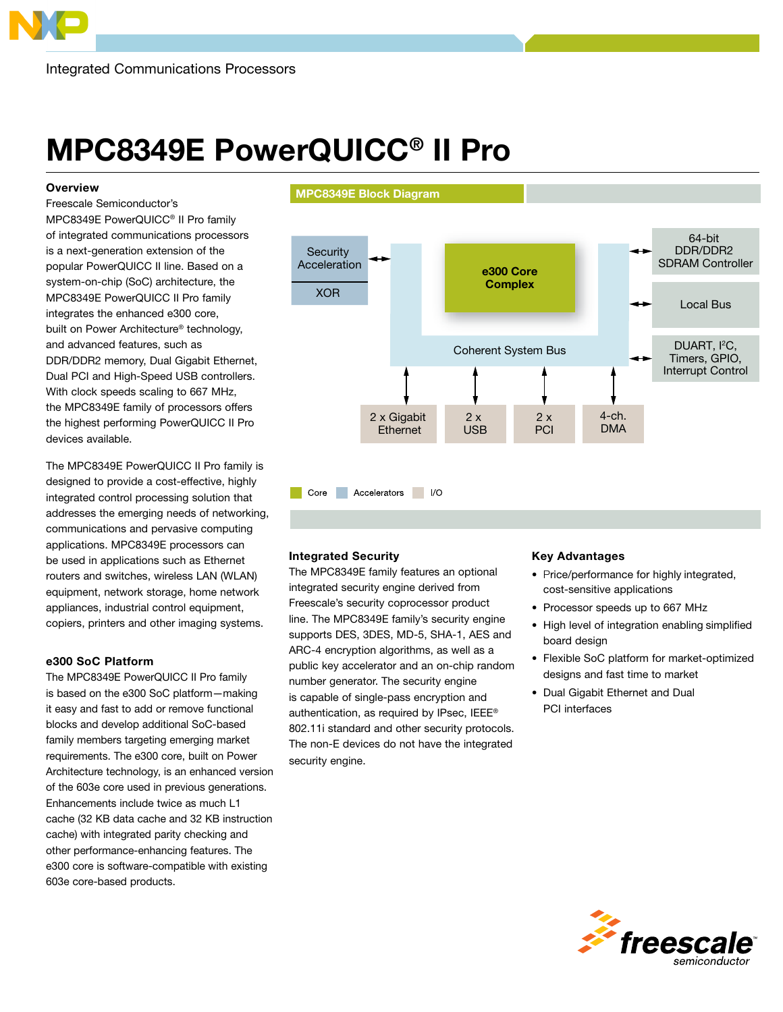# MPC8349E PowerQUICC® II Pro

### **Overview**

Freescale Semiconductor's MPC8349E PowerQUICC® II Pro family of integrated communications processors is a next-generation extension of the popular PowerQUICC II line. Based on a system-on-chip (SoC) architecture, the MPC8349E PowerQUICC II Pro family integrates the enhanced e300 core, built on Power Architecture® technology, and advanced features, such as DDR/DDR2 memory, Dual Gigabit Ethernet, Dual PCI and High-Speed USB controllers. With clock speeds scaling to 667 MHz, the MPC8349E family of processors offers the highest performing PowerQUICC II Pro devices available.

The MPC8349E PowerQUICC II Pro family is designed to provide a cost-effective, highly integrated control processing solution that addresses the emerging needs of networking, communications and pervasive computing applications. MPC8349E processors can be used in applications such as Ethernet routers and switches, wireless LAN (WLAN) equipment, network storage, home network appliances, industrial control equipment, copiers, printers and other imaging systems.

#### e300 SoC Platform

The MPC8349E PowerQUICC II Pro family is based on the e300 SoC platform—making it easy and fast to add or remove functional blocks and develop additional SoC-based family members targeting emerging market requirements. The e300 core, built on Power Architecture technology, is an enhanced version of the 603e core used in previous generations. Enhancements include twice as much L1 cache (32 KB data cache and 32 KB instruction cache) with integrated parity checking and other performance-enhancing features. The e300 core is software-compatible with existing 603e core-based products.

#### MPC8349E Block Diagram



### Integrated Security

The MPC8349E family features an optional integrated security engine derived from Freescale's security coprocessor product line. The MPC8349E family's security engine supports DES, 3DES, MD-5, SHA-1, AES and ARC-4 encryption algorithms, as well as a public key accelerator and an on-chip random number generator. The security engine is capable of single-pass encryption and authentication, as required by IPsec, IEEE® 802.11i standard and other security protocols. The non-E devices do not have the integrated security engine.

## Key Advantages

- Price/performance for highly integrated, cost-sensitive applications
- Processor speeds up to 667 MHz
- High level of integration enabling simplified board design
- Flexible SoC platform for market-optimized designs and fast time to market
- Dual Gigabit Ethernet and Dual PCI interfaces